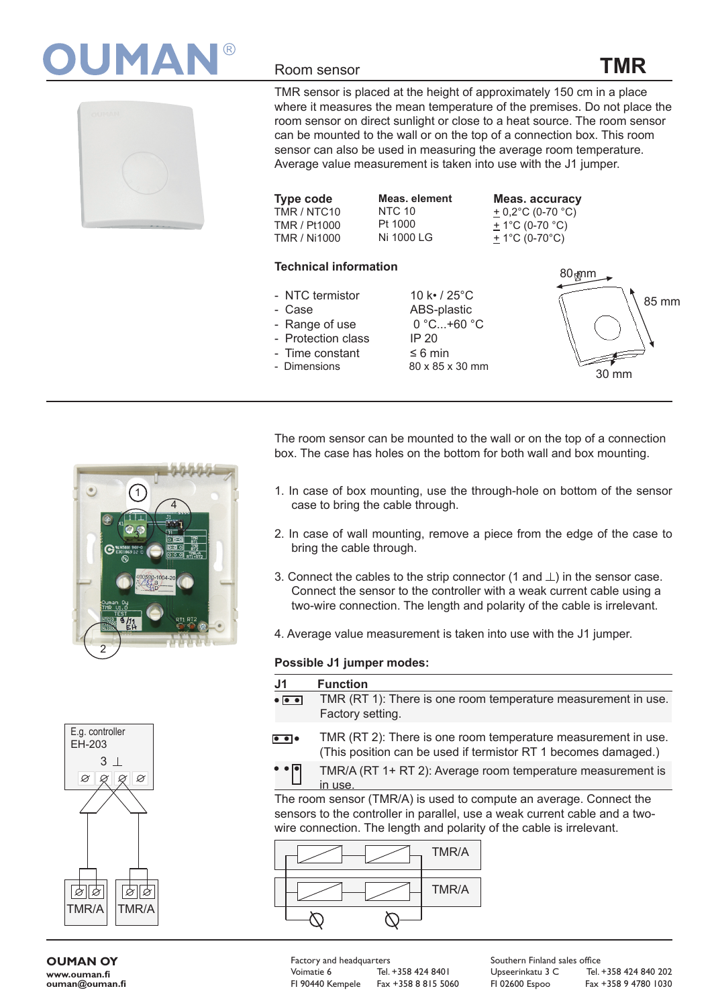



## Room sensor

TMR sensor is placed at the height of approximately 150 cm in a place where it measures the mean temperature of the premises. Do not place the room sensor on direct sunlight or close to a heat source. The room sensor can be mounted to the wall or on the top of a connection box. This room sensor can also be used in measuring the average room temperature. Average value measurement is taken into use with the J1 jumper.

**Type code** TMR / NTC10 TMR / Pt1000 TMR / Ni1000 **Meas. element** NTC 10 Pt 1000 Ni 1000 LG

**Meas. accuracy**  $\pm$  0,2 $^{\circ}$ C (0-70 $^{\circ}$ C)  $+$  1°C (0-70 °C) + 1°C (0-70°C)

## **Technical information**

- NTC termistor 10 k• / 25°C
- 
- Range of use
- Protection class IP 20
- Time constant ≤ 6 min<br>- Dimensions 80 x 85 x
- 

- Case ABS-plastic 80 x 85 x 30 mm



**TMR**

The room sensor can be mounted to the wall or on the top of a connection box. The case has holes on the bottom for both wall and box mounting.

- 1. In case of box mounting, use the through-hole on bottom of the sensor case to bring the cable through.
- 2. In case of wall mounting, remove a piece from the edge of the case to bring the cable through.
- 3. Connect the cables to the strip connector (1 and  $\perp$ ) in the sensor case. Connect the sensor to the controller with a weak current cable using a two-wire connection. The length and polarity of the cable is irrelevant.
- 4. Average value measurement is taken into use with the J1 jumper.

## **Possible J1 jumper modes:**

| J1.                                      | <b>Function</b>                                                                                                                 |
|------------------------------------------|---------------------------------------------------------------------------------------------------------------------------------|
| $\bullet$ $\overline{\bullet}$ $\bullet$ | TMR (RT 1): There is one room temperature measurement in use.<br>Factory setting.                                               |
| $\bullet \bullet \bullet$                | TMR (RT 2): There is one room temperature measurement in use.<br>(This position can be used if termistor RT 1 becomes damaged.) |

TMR/A (RT 1+ RT 2): Average room temperature measurement is in use.

The room sensor (TMR/A) is used to compute an average. Connect the sensors to the controller in parallel, use a weak current cable and a twowire connection. The length and polarity of the cable is irrelevant.







**OUMAN OY www.ouman.fi ouman@ouman.fi** Factory and headquarters Voimatie 6 Tel. +358 424 8401

FI 90440 Kempele Fax +358 8 815 5060

Southern Finland sales office Upseerinkatu 3 C Tel. +358 424 840 202 FI 02600 Espoo Fax +358 9 4780 1030